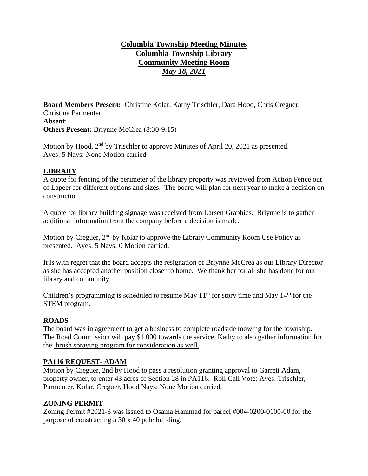# **Columbia Township Meeting Minutes Columbia Township Library Community Meeting Room** *May 18, 2021*

**Board Members Present:** Christine Kolar, Kathy Trischler, Dara Hood, Chris Creguer, Christina Parmenter **Absent**: **Others Present:** Briynne McCrea (8:30-9:15)

Motion by Hood, 2<sup>nd</sup> by Trischler to approve Minutes of April 20, 2021 as presented. Ayes: 5 Nays: None Motion carried

#### **LIBRARY**

A quote for fencing of the perimeter of the library property was reviewed from Action Fence out of Lapeer for different options and sizes. The board will plan for next year to make a decision on construction.

A quote for library building signage was received from Larsen Graphics. Briynne is to gather additional information from the company before a decision is made.

Motion by Creguer, 2<sup>nd</sup> by Kolar to approve the Library Community Room Use Policy as presented. Ayes: 5 Nays: 0 Motion carried.

It is with regret that the board accepts the resignation of Briynne McCrea as our Library Director as she has accepted another position closer to home. We thank her for all she has done for our library and community.

Children's programming is scheduled to resume May  $11<sup>th</sup>$  for story time and May  $14<sup>th</sup>$  for the STEM program.

#### **ROADS**

The board was in agreement to get a business to complete roadside mowing for the township. The Road Commission will pay \$1,000 towards the service. Kathy to also gather information for the brush spraying program for consideration as well.

#### **PA116 REQUEST- ADAM**

Motion by Creguer, 2nd by Hood to pass a resolution granting approval to Garrett Adam, property owner, to enter 43 acres of Section 28 in PA116. Roll Call Vote: Ayes: Trischler, Parmenter, Kolar, Creguer, Hood Nays: None Motion carried.

#### **ZONING PERMIT**

Zoning Permit #2021-3 was issued to Osama Hammad for parcel #004-0200-0100-00 for the purpose of constructing a 30 x 40 pole building.